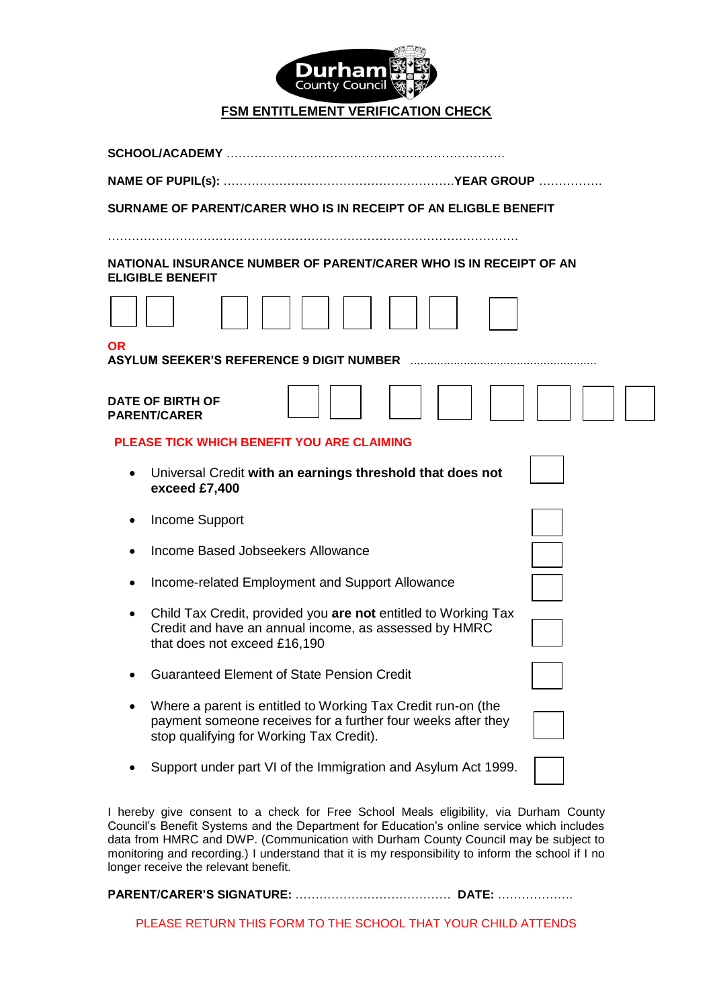

## **FSM ENTITLEMENT VERIFICATION CHECK**

| SURNAME OF PARENT/CARER WHO IS IN RECEIPT OF AN ELIGBLE BENEFIT                                                                                                          |  |  |  |  |
|--------------------------------------------------------------------------------------------------------------------------------------------------------------------------|--|--|--|--|
|                                                                                                                                                                          |  |  |  |  |
| NATIONAL INSURANCE NUMBER OF PARENT/CARER WHO IS IN RECEIPT OF AN<br><b>ELIGIBLE BENEFIT</b>                                                                             |  |  |  |  |
|                                                                                                                                                                          |  |  |  |  |
| <b>OR</b><br><b>ASYLUM SEEKER'S REFERENCE 9 DIGIT NUMBER</b>                                                                                                             |  |  |  |  |
| <b>DATE OF BIRTH OF</b><br><b>PARENT/CARER</b>                                                                                                                           |  |  |  |  |
| <b>PLEASE TICK WHICH BENEFIT YOU ARE CLAIMING</b>                                                                                                                        |  |  |  |  |
| Universal Credit with an earnings threshold that does not<br>exceed £7,400                                                                                               |  |  |  |  |
| Income Support                                                                                                                                                           |  |  |  |  |
| <b>Income Based Jobseekers Allowance</b>                                                                                                                                 |  |  |  |  |
| Income-related Employment and Support Allowance                                                                                                                          |  |  |  |  |
| Child Tax Credit, provided you are not entitled to Working Tax<br>Credit and have an annual income, as assessed by HMRC<br>that does not exceed £16,190                  |  |  |  |  |
| <b>Guaranteed Element of State Pension Credit</b>                                                                                                                        |  |  |  |  |
| Where a parent is entitled to Working Tax Credit run-on (the<br>payment someone receives for a further four weeks after they<br>stop qualifying for Working Tax Credit). |  |  |  |  |
| Support under part VI of the Immigration and Asylum Act 1999.                                                                                                            |  |  |  |  |

I hereby give consent to a check for Free School Meals eligibility, via Durham County Council's Benefit Systems and the Department for Education's online service which includes data from HMRC and DWP. (Communication with Durham County Council may be subject to monitoring and recording.) I understand that it is my responsibility to inform the school if I no longer receive the relevant benefit.

**PARENT/CARER'S SIGNATURE:** ………………………………… **DATE:** ……………….

PLEASE RETURN THIS FORM TO THE SCHOOL THAT YOUR CHILD ATTENDS